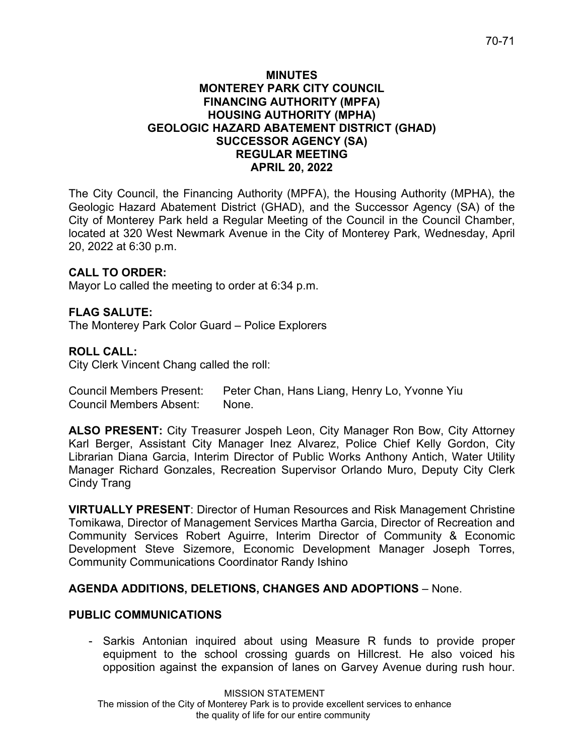## **MINUTES MONTEREY PARK CITY COUNCIL FINANCING AUTHORITY (MPFA) HOUSING AUTHORITY (MPHA) GEOLOGIC HAZARD ABATEMENT DISTRICT (GHAD) SUCCESSOR AGENCY (SA) REGULAR MEETING APRIL 20, 2022**

The City Council, the Financing Authority (MPFA), the Housing Authority (MPHA), the Geologic Hazard Abatement District (GHAD), and the Successor Agency (SA) of the City of Monterey Park held a Regular Meeting of the Council in the Council Chamber, located at 320 West Newmark Avenue in the City of Monterey Park, Wednesday, April 20, 2022 at 6:30 p.m.

# **CALL TO ORDER:**

Mayor Lo called the meeting to order at 6:34 p.m.

# **FLAG SALUTE:**

The Monterey Park Color Guard – Police Explorers

## **ROLL CALL:**

City Clerk Vincent Chang called the roll:

Council Members Present: Peter Chan, Hans Liang, Henry Lo, Yvonne Yiu Council Members Absent: None.

**ALSO PRESENT:** City Treasurer Jospeh Leon, City Manager Ron Bow, City Attorney Karl Berger, Assistant City Manager Inez Alvarez, Police Chief Kelly Gordon, City Librarian Diana Garcia, Interim Director of Public Works Anthony Antich, Water Utility Manager Richard Gonzales, Recreation Supervisor Orlando Muro, Deputy City Clerk Cindy Trang

**VIRTUALLY PRESENT**: Director of Human Resources and Risk Management Christine Tomikawa, Director of Management Services Martha Garcia, Director of Recreation and Community Services Robert Aguirre, Interim Director of Community & Economic Development Steve Sizemore, Economic Development Manager Joseph Torres, Community Communications Coordinator Randy Ishino

## **AGENDA ADDITIONS, DELETIONS, CHANGES AND ADOPTIONS** – None.

## **PUBLIC COMMUNICATIONS**

- Sarkis Antonian inquired about using Measure R funds to provide proper equipment to the school crossing guards on Hillcrest. He also voiced his opposition against the expansion of lanes on Garvey Avenue during rush hour.

MISSION STATEMENT The mission of the City of Monterey Park is to provide excellent services to enhance the quality of life for our entire community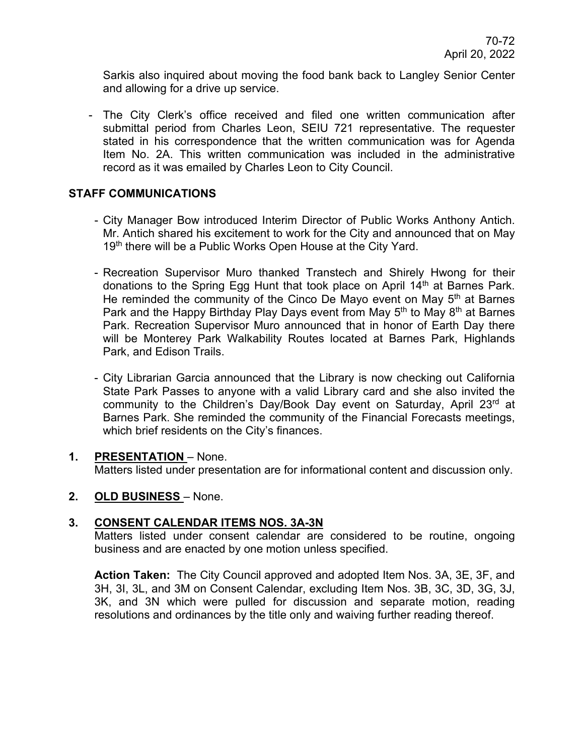Sarkis also inquired about moving the food bank back to Langley Senior Center and allowing for a drive up service.

- The City Clerk's office received and filed one written communication after submittal period from Charles Leon, SEIU 721 representative. The requester stated in his correspondence that the written communication was for Agenda Item No. 2A. This written communication was included in the administrative record as it was emailed by Charles Leon to City Council.

## **STAFF COMMUNICATIONS**

- City Manager Bow introduced Interim Director of Public Works Anthony Antich. Mr. Antich shared his excitement to work for the City and announced that on May 19<sup>th</sup> there will be a Public Works Open House at the City Yard.
- Recreation Supervisor Muro thanked Transtech and Shirely Hwong for their donations to the Spring Egg Hunt that took place on April 14<sup>th</sup> at Barnes Park. He reminded the community of the Cinco De Mayo event on May  $5<sup>th</sup>$  at Barnes Park and the Happy Birthday Play Days event from May 5<sup>th</sup> to May 8<sup>th</sup> at Barnes Park. Recreation Supervisor Muro announced that in honor of Earth Day there will be Monterey Park Walkability Routes located at Barnes Park, Highlands Park, and Edison Trails.
- City Librarian Garcia announced that the Library is now checking out California State Park Passes to anyone with a valid Library card and she also invited the community to the Children's Day/Book Day event on Saturday, April 23rd at Barnes Park. She reminded the community of the Financial Forecasts meetings, which brief residents on the City's finances.

#### **1. PRESENTATION** – None. Matters listed under presentation are for informational content and discussion only.

## **2. OLD BUSINESS** – None.

## **3. CONSENT CALENDAR ITEMS NOS. 3A-3N**

Matters listed under consent calendar are considered to be routine, ongoing business and are enacted by one motion unless specified.

**Action Taken:** The City Council approved and adopted Item Nos. 3A, 3E, 3F, and 3H, 3I, 3L, and 3M on Consent Calendar, excluding Item Nos. 3B, 3C, 3D, 3G, 3J, 3K, and 3N which were pulled for discussion and separate motion, reading resolutions and ordinances by the title only and waiving further reading thereof.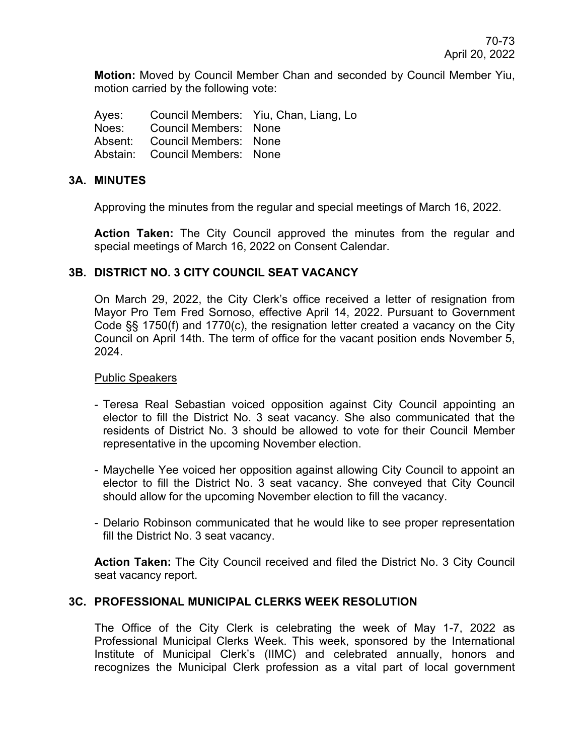**Motion:** Moved by Council Member Chan and seconded by Council Member Yiu, motion carried by the following vote:

Ayes: Council Members: Yiu, Chan, Liang, Lo Noes: Council Members: None Absent: Council Members: None Abstain: Council Members: None

## **3A. MINUTES**

Approving the minutes from the regular and special meetings of March 16, 2022.

**Action Taken:** The City Council approved the minutes from the regular and special meetings of March 16, 2022 on Consent Calendar.

## **3B. DISTRICT NO. 3 CITY COUNCIL SEAT VACANCY**

On March 29, 2022, the City Clerk's office received a letter of resignation from Mayor Pro Tem Fred Sornoso, effective April 14, 2022. Pursuant to Government Code §§ 1750(f) and 1770(c), the resignation letter created a vacancy on the City Council on April 14th. The term of office for the vacant position ends November 5, 2024.

#### Public Speakers

- Teresa Real Sebastian voiced opposition against City Council appointing an elector to fill the District No. 3 seat vacancy. She also communicated that the residents of District No. 3 should be allowed to vote for their Council Member representative in the upcoming November election.
- Maychelle Yee voiced her opposition against allowing City Council to appoint an elector to fill the District No. 3 seat vacancy. She conveyed that City Council should allow for the upcoming November election to fill the vacancy.
- Delario Robinson communicated that he would like to see proper representation fill the District No. 3 seat vacancy.

**Action Taken:** The City Council received and filed the District No. 3 City Council seat vacancy report.

### **3C. PROFESSIONAL MUNICIPAL CLERKS WEEK RESOLUTION**

The Office of the City Clerk is celebrating the week of May 1-7, 2022 as Professional Municipal Clerks Week. This week, sponsored by the International Institute of Municipal Clerk's (IIMC) and celebrated annually, honors and recognizes the Municipal Clerk profession as a vital part of local government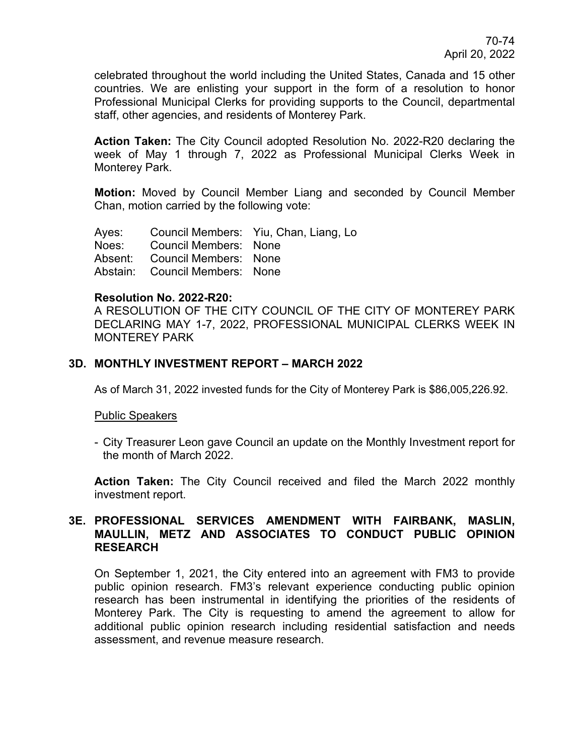celebrated throughout the world including the United States, Canada and 15 other countries. We are enlisting your support in the form of a resolution to honor Professional Municipal Clerks for providing supports to the Council, departmental staff, other agencies, and residents of Monterey Park.

**Action Taken:** The City Council adopted Resolution No. 2022-R20 declaring the week of May 1 through 7, 2022 as Professional Municipal Clerks Week in Monterey Park.

**Motion:** Moved by Council Member Liang and seconded by Council Member Chan, motion carried by the following vote:

Ayes: Council Members: Yiu, Chan, Liang, Lo Noes: Council Members: None Absent: Council Members: None Abstain: Council Members: None

#### **Resolution No. 2022-R20:**

A RESOLUTION OF THE CITY COUNCIL OF THE CITY OF MONTEREY PARK DECLARING MAY 1-7, 2022, PROFESSIONAL MUNICIPAL CLERKS WEEK IN MONTEREY PARK

## **3D. MONTHLY INVESTMENT REPORT – MARCH 2022**

As of March 31, 2022 invested funds for the City of Monterey Park is \$86,005,226.92.

#### Public Speakers

- City Treasurer Leon gave Council an update on the Monthly Investment report for the month of March 2022.

**Action Taken:** The City Council received and filed the March 2022 monthly investment report.

## **3E. PROFESSIONAL SERVICES AMENDMENT WITH FAIRBANK, MASLIN, MAULLIN, METZ AND ASSOCIATES TO CONDUCT PUBLIC OPINION RESEARCH**

On September 1, 2021, the City entered into an agreement with FM3 to provide public opinion research. FM3's relevant experience conducting public opinion research has been instrumental in identifying the priorities of the residents of Monterey Park. The City is requesting to amend the agreement to allow for additional public opinion research including residential satisfaction and needs assessment, and revenue measure research.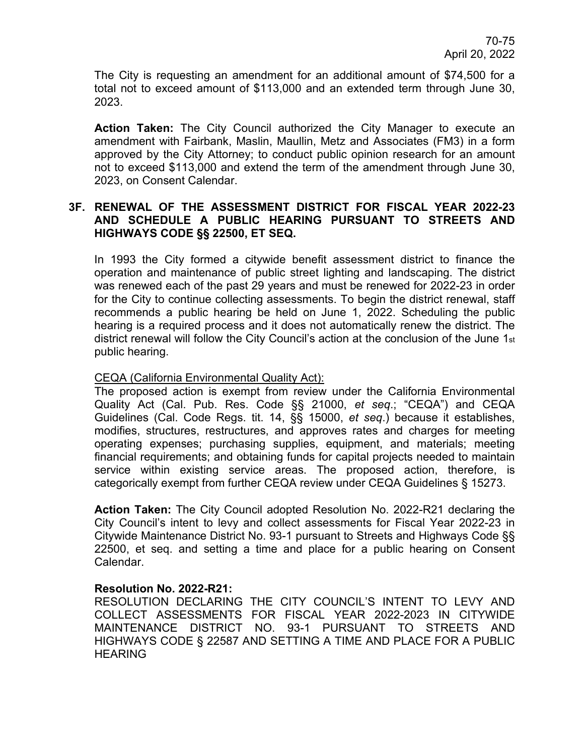The City is requesting an amendment for an additional amount of \$74,500 for a total not to exceed amount of \$113,000 and an extended term through June 30, 2023.

**Action Taken:** The City Council authorized the City Manager to execute an amendment with Fairbank, Maslin, Maullin, Metz and Associates (FM3) in a form approved by the City Attorney; to conduct public opinion research for an amount not to exceed \$113,000 and extend the term of the amendment through June 30, 2023, on Consent Calendar.

## **3F. RENEWAL OF THE ASSESSMENT DISTRICT FOR FISCAL YEAR 2022-23 AND SCHEDULE A PUBLIC HEARING PURSUANT TO STREETS AND HIGHWAYS CODE §§ 22500, ET SEQ.**

In 1993 the City formed a citywide benefit assessment district to finance the operation and maintenance of public street lighting and landscaping. The district was renewed each of the past 29 years and must be renewed for 2022-23 in order for the City to continue collecting assessments. To begin the district renewal, staff recommends a public hearing be held on June 1, 2022. Scheduling the public hearing is a required process and it does not automatically renew the district. The district renewal will follow the City Council's action at the conclusion of the June 1st public hearing.

### CEQA (California Environmental Quality Act):

The proposed action is exempt from review under the California Environmental Quality Act (Cal. Pub. Res. Code §§ 21000, *et seq*.; "CEQA") and CEQA Guidelines (Cal. Code Regs. tit. 14, §§ 15000, *et seq*.) because it establishes, modifies, structures, restructures, and approves rates and charges for meeting operating expenses; purchasing supplies, equipment, and materials; meeting financial requirements; and obtaining funds for capital projects needed to maintain service within existing service areas. The proposed action, therefore, is categorically exempt from further CEQA review under CEQA Guidelines § 15273.

**Action Taken:** The City Council adopted Resolution No. 2022-R21 declaring the City Council's intent to levy and collect assessments for Fiscal Year 2022-23 in Citywide Maintenance District No. 93-1 pursuant to Streets and Highways Code §§ 22500, et seq. and setting a time and place for a public hearing on Consent Calendar.

#### **Resolution No. 2022-R21:**

RESOLUTION DECLARING THE CITY COUNCIL'S INTENT TO LEVY AND COLLECT ASSESSMENTS FOR FISCAL YEAR 2022-2023 IN CITYWIDE MAINTENANCE DISTRICT NO. 93-1 PURSUANT TO STREETS AND HIGHWAYS CODE § 22587 AND SETTING A TIME AND PLACE FOR A PUBLIC HEARING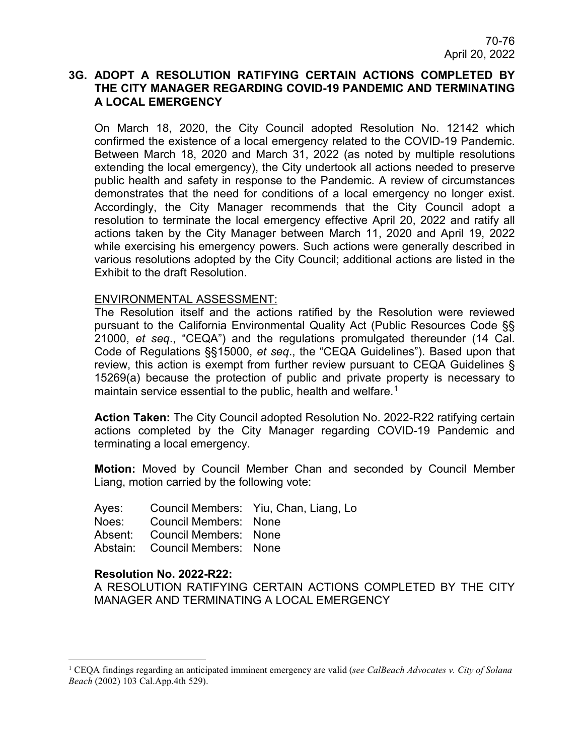## **3G. ADOPT A RESOLUTION RATIFYING CERTAIN ACTIONS COMPLETED BY THE CITY MANAGER REGARDING COVID-19 PANDEMIC AND TERMINATING A LOCAL EMERGENCY**

On March 18, 2020, the City Council adopted Resolution No. 12142 which confirmed the existence of a local emergency related to the COVID-19 Pandemic. Between March 18, 2020 and March 31, 2022 (as noted by multiple resolutions extending the local emergency), the City undertook all actions needed to preserve public health and safety in response to the Pandemic. A review of circumstances demonstrates that the need for conditions of a local emergency no longer exist. Accordingly, the City Manager recommends that the City Council adopt a resolution to terminate the local emergency effective April 20, 2022 and ratify all actions taken by the City Manager between March 11, 2020 and April 19, 2022 while exercising his emergency powers. Such actions were generally described in various resolutions adopted by the City Council; additional actions are listed in the Exhibit to the draft Resolution.

#### ENVIRONMENTAL ASSESSMENT:

The Resolution itself and the actions ratified by the Resolution were reviewed pursuant to the California Environmental Quality Act (Public Resources Code §§ 21000, *et seq*., "CEQA") and the regulations promulgated thereunder (14 Cal. Code of Regulations §§15000, *et seq*., the "CEQA Guidelines"). Based upon that review, this action is exempt from further review pursuant to CEQA Guidelines § 15269(a) because the protection of public and private property is necessary to maintain service essential to the public, health and welfare.<sup>[1](#page-5-0)</sup>

**Action Taken:** The City Council adopted Resolution No. 2022-R22 ratifying certain actions completed by the City Manager regarding COVID-19 Pandemic and terminating a local emergency.

**Motion:** Moved by Council Member Chan and seconded by Council Member Liang, motion carried by the following vote:

Ayes: Council Members: Yiu, Chan, Liang, Lo Noes: Council Members: None Absent: Council Members: None Abstain: Council Members: None

#### **Resolution No. 2022-R22:**

A RESOLUTION RATIFYING CERTAIN ACTIONS COMPLETED BY THE CITY MANAGER AND TERMINATING A LOCAL EMERGENCY

<span id="page-5-0"></span><sup>1</sup> CEQA findings regarding an anticipated imminent emergency are valid (*see CalBeach Advocates v. City of Solana Beach* (2002) 103 Cal.App.4th 529).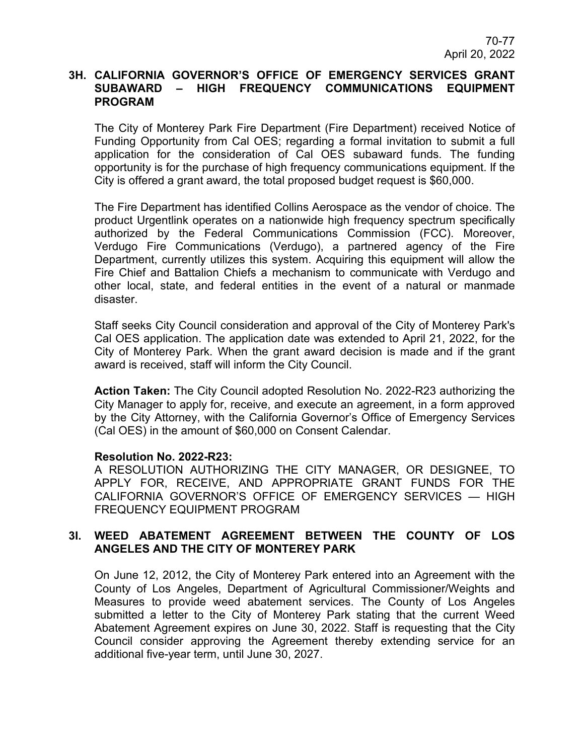## **3H. CALIFORNIA GOVERNOR'S OFFICE OF EMERGENCY SERVICES GRANT SUBAWARD – HIGH FREQUENCY COMMUNICATIONS EQUIPMENT PROGRAM**

The City of Monterey Park Fire Department (Fire Department) received Notice of Funding Opportunity from Cal OES; regarding a formal invitation to submit a full application for the consideration of Cal OES subaward funds. The funding opportunity is for the purchase of high frequency communications equipment. lf the City is offered a grant award, the total proposed budget request is \$60,000.

The Fire Department has identified Collins Aerospace as the vendor of choice. The product Urgentlink operates on a nationwide high frequency spectrum specifically authorized by the Federal Communications Commission (FCC). Moreover, Verdugo Fire Communications (Verdugo), a partnered agency of the Fire Department, currently utilizes this system. Acquiring this equipment will allow the Fire Chief and Battalion Chiefs a mechanism to communicate with Verdugo and other local, state, and federal entities in the event of a natural or manmade disaster.

Staff seeks City Council consideration and approval of the City of Monterey Park's Cal OES application. The application date was extended to April 21, 2022, for the City of Monterey Park. When the grant award decision is made and if the grant award is received, staff will inform the City Council.

**Action Taken:** The City Council adopted Resolution No. 2022-R23 authorizing the City Manager to apply for, receive, and execute an agreement, in a form approved by the City Attorney, with the California Governor's Office of Emergency Services (Cal OES) in the amount of \$60,000 on Consent Calendar.

#### **Resolution No. 2022-R23:**

A RESOLUTION AUTHORIZING THE CITY MANAGER, OR DESIGNEE, TO APPLY FOR, RECEIVE, AND APPROPRIATE GRANT FUNDS FOR THE CALIFORNIA GOVERNOR'S OFFICE OF EMERGENCY SERVICES — HIGH FREQUENCY EQUIPMENT PROGRAM

## **3I. WEED ABATEMENT AGREEMENT BETWEEN THE COUNTY OF LOS ANGELES AND THE CITY OF MONTEREY PARK**

On June 12, 2012, the City of Monterey Park entered into an Agreement with the County of Los Angeles, Department of Agricultural Commissioner/Weights and Measures to provide weed abatement services. The County of Los Angeles submitted a letter to the City of Monterey Park stating that the current Weed Abatement Agreement expires on June 30, 2022. Staff is requesting that the City Council consider approving the Agreement thereby extending service for an additional five-year term, until June 30, 2027.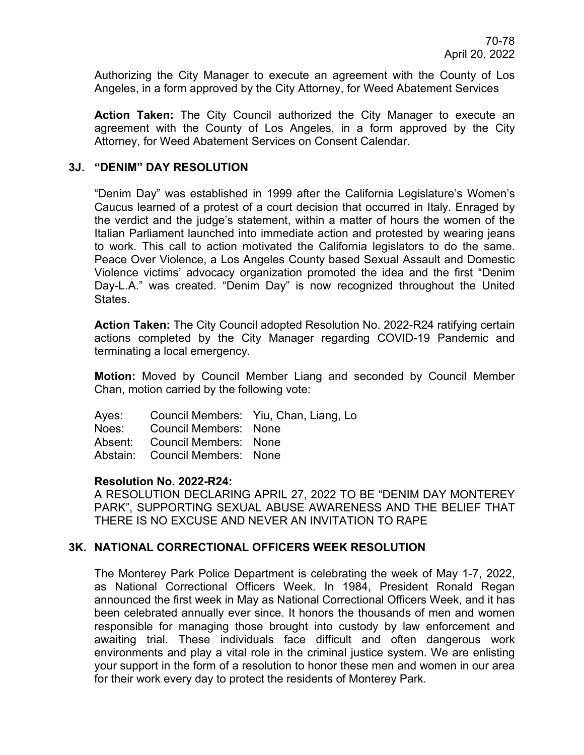Authorizing the City Manager to execute an agreement with the County of Los Angeles, in a form approved by the City Attorney, for Weed Abatement Services

**Action Taken:** The City Council authorized the City Manager to execute an agreement with the County of Los Angeles, in a form approved by the City Attorney, for Weed Abatement Services on Consent Calendar.

## **3J. "DENIM" DAY RESOLUTION**

"Denim Day" was established in 1999 after the California Legislature's Women's Caucus learned of a protest of a court decision that occurred in Italy. Enraged by the verdict and the judge's statement, within a matter of hours the women of the Italian Parliament launched into immediate action and protested by wearing jeans to work. This call to action motivated the California legislators to do the same. Peace Over Violence, a Los Angeles County based Sexual Assault and Domestic Violence victims' advocacy organization promoted the idea and the first "Denim Day-L.A." was created. "Denim Day" is now recognized throughout the United States.

**Action Taken:** The City Council adopted Resolution No. 2022-R24 ratifying certain actions completed by the City Manager regarding COVID-19 Pandemic and terminating a local emergency.

**Motion:** Moved by Council Member Liang and seconded by Council Member Chan, motion carried by the following vote:

|                                | Ayes: Council Members: Yiu, Chan, Liang, Lo |
|--------------------------------|---------------------------------------------|
| Noes: Council Members: None    |                                             |
| Absent: Council Members: None  |                                             |
| Abstain: Council Members: None |                                             |

#### **Resolution No. 2022-R24:**

A RESOLUTION DECLARING APRIL 27, 2022 TO BE "DENIM DAY MONTEREY PARK", SUPPORTING SEXUAL ABUSE AWARENESS AND THE BELIEF THAT THERE IS NO EXCUSE AND NEVER AN INVITATION TO RAPE

## **3K. NATIONAL CORRECTIONAL OFFICERS WEEK RESOLUTION**

The Monterey Park Police Department is celebrating the week of May 1-7, 2022, as National Correctional Officers Week. In 1984, President Ronald Regan announced the first week in May as National Correctional Officers Week, and it has been celebrated annually ever since. It honors the thousands of men and women responsible for managing those brought into custody by law enforcement and awaiting trial. These individuals face difficult and often dangerous work environments and play a vital role in the criminal justice system. We are enlisting your support in the form of a resolution to honor these men and women in our area for their work every day to protect the residents of Monterey Park.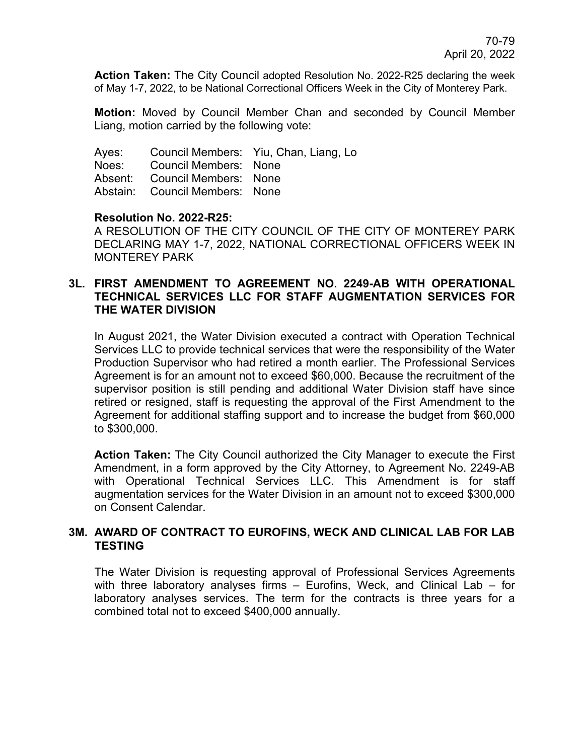**Action Taken:** The City Council adopted Resolution No. 2022-R25 declaring the week of May 1-7, 2022, to be National Correctional Officers Week in the City of Monterey Park.

**Motion:** Moved by Council Member Chan and seconded by Council Member Liang, motion carried by the following vote:

Ayes: Council Members: Yiu, Chan, Liang, Lo Noes: Council Members: None Absent: Council Members: None Abstain: Council Members: None

## **Resolution No. 2022-R25:**

A RESOLUTION OF THE CITY COUNCIL OF THE CITY OF MONTEREY PARK DECLARING MAY 1-7, 2022, NATIONAL CORRECTIONAL OFFICERS WEEK IN MONTEREY PARK

## **3L. FIRST AMENDMENT TO AGREEMENT NO. 2249-AB WITH OPERATIONAL TECHNICAL SERVICES LLC FOR STAFF AUGMENTATION SERVICES FOR THE WATER DIVISION**

In August 2021, the Water Division executed a contract with Operation Technical Services LLC to provide technical services that were the responsibility of the Water Production Supervisor who had retired a month earlier. The Professional Services Agreement is for an amount not to exceed \$60,000. Because the recruitment of the supervisor position is still pending and additional Water Division staff have since retired or resigned, staff is requesting the approval of the First Amendment to the Agreement for additional staffing support and to increase the budget from \$60,000 to \$300,000.

**Action Taken:** The City Council authorized the City Manager to execute the First Amendment, in a form approved by the City Attorney, to Agreement No. 2249-AB with Operational Technical Services LLC. This Amendment is for staff augmentation services for the Water Division in an amount not to exceed \$300,000 on Consent Calendar.

## **3M. AWARD OF CONTRACT TO EUROFINS, WECK AND CLINICAL LAB FOR LAB TESTING**

The Water Division is requesting approval of Professional Services Agreements with three laboratory analyses firms – Eurofins, Weck, and Clinical Lab – for laboratory analyses services. The term for the contracts is three years for a combined total not to exceed \$400,000 annually.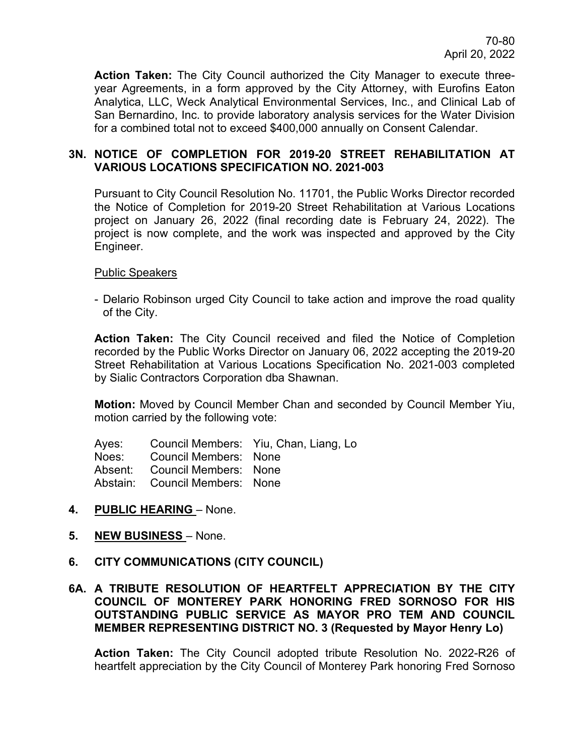**Action Taken:** The City Council authorized the City Manager to execute threeyear Agreements, in a form approved by the City Attorney, with Eurofins Eaton Analytica, LLC, Weck Analytical Environmental Services, Inc., and Clinical Lab of San Bernardino, Inc. to provide laboratory analysis services for the Water Division for a combined total not to exceed \$400,000 annually on Consent Calendar.

## **3N. NOTICE OF COMPLETION FOR 2019-20 STREET REHABILITATION AT VARIOUS LOCATIONS SPECIFICATION NO. 2021-003**

Pursuant to City Council Resolution No. 11701, the Public Works Director recorded the Notice of Completion for 2019-20 Street Rehabilitation at Various Locations project on January 26, 2022 (final recording date is February 24, 2022). The project is now complete, and the work was inspected and approved by the City Engineer.

## Public Speakers

- Delario Robinson urged City Council to take action and improve the road quality of the City.

**Action Taken:** The City Council received and filed the Notice of Completion recorded by the Public Works Director on January 06, 2022 accepting the 2019-20 Street Rehabilitation at Various Locations Specification No. 2021-003 completed by Sialic Contractors Corporation dba Shawnan.

**Motion:** Moved by Council Member Chan and seconded by Council Member Yiu, motion carried by the following vote:

| Ayes: |                              | Council Members: Yiu, Chan, Liang, Lo |
|-------|------------------------------|---------------------------------------|
| Noes: | <b>Council Members: None</b> |                                       |

Absent: Council Members: None

Abstain: Council Members: None

## **4. PUBLIC HEARING** – None.

**5. NEW BUSINESS** – None.

# **6. CITY COMMUNICATIONS (CITY COUNCIL)**

## **6A. A TRIBUTE RESOLUTION OF HEARTFELT APPRECIATION BY THE CITY COUNCIL OF MONTEREY PARK HONORING FRED SORNOSO FOR HIS OUTSTANDING PUBLIC SERVICE AS MAYOR PRO TEM AND COUNCIL MEMBER REPRESENTING DISTRICT NO. 3 (Requested by Mayor Henry Lo)**

**Action Taken:** The City Council adopted tribute Resolution No. 2022-R26 of heartfelt appreciation by the City Council of Monterey Park honoring Fred Sornoso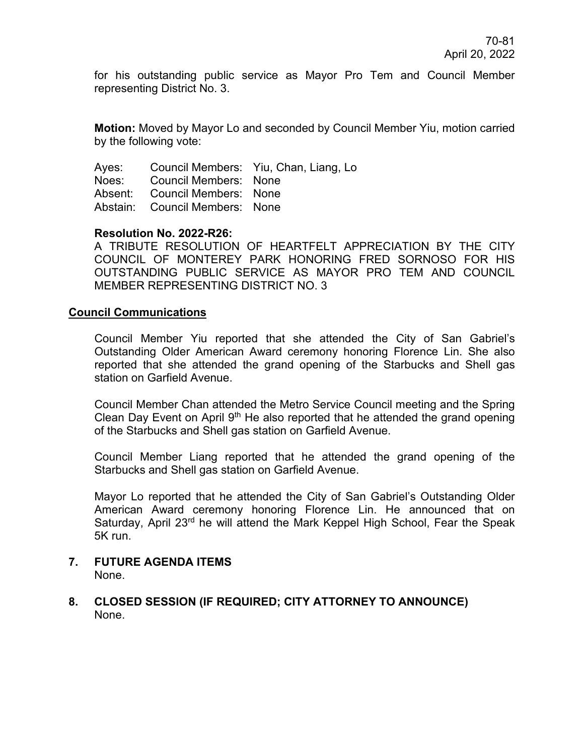for his outstanding public service as Mayor Pro Tem and Council Member representing District No. 3.

**Motion:** Moved by Mayor Lo and seconded by Council Member Yiu, motion carried by the following vote:

Ayes: Council Members: Yiu, Chan, Liang, Lo Noes: Council Members: None Absent: Council Members: None Abstain: Council Members: None

## **Resolution No. 2022-R26:**

A TRIBUTE RESOLUTION OF HEARTFELT APPRECIATION BY THE CITY COUNCIL OF MONTEREY PARK HONORING FRED SORNOSO FOR HIS OUTSTANDING PUBLIC SERVICE AS MAYOR PRO TEM AND COUNCIL MEMBER REPRESENTING DISTRICT NO. 3

#### **Council Communications**

Council Member Yiu reported that she attended the City of San Gabriel's Outstanding Older American Award ceremony honoring Florence Lin. She also reported that she attended the grand opening of the Starbucks and Shell gas station on Garfield Avenue.

Council Member Chan attended the Metro Service Council meeting and the Spring Clean Day Event on April  $9<sup>th</sup>$  He also reported that he attended the grand opening of the Starbucks and Shell gas station on Garfield Avenue.

Council Member Liang reported that he attended the grand opening of the Starbucks and Shell gas station on Garfield Avenue.

Mayor Lo reported that he attended the City of San Gabriel's Outstanding Older American Award ceremony honoring Florence Lin. He announced that on Saturday, April 23<sup>rd</sup> he will attend the Mark Keppel High School, Fear the Speak 5K run.

#### **7. FUTURE AGENDA ITEMS** None.

**8. CLOSED SESSION (IF REQUIRED; CITY ATTORNEY TO ANNOUNCE)** None.